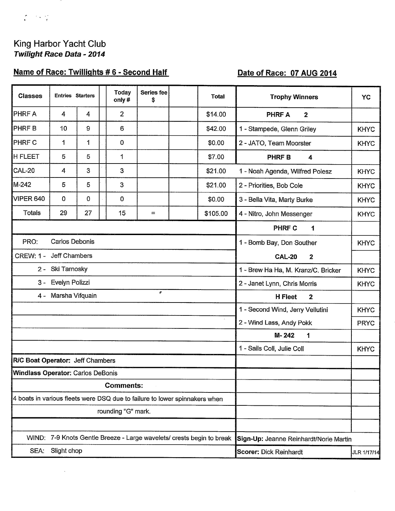$\mathcal{C} = \mathbb{R} \times \mathbb{R}^2$ 

## King Harbor Yacht Club Twilight Race Data - 2014

 $\bar{L}$ 

# Name of Race: Twillights #6 - Second Half

# Date of Race: 07 AUG 2014

| <b>Classes</b>                                                             | <b>Entries Starters</b> |           |  | <b>Today</b><br>only# | Series fee<br>\$                 |             | Total                                        | <b>Trophy Winners</b>               | YC          |  |
|----------------------------------------------------------------------------|-------------------------|-----------|--|-----------------------|----------------------------------|-------------|----------------------------------------------|-------------------------------------|-------------|--|
| <b>PHRFA</b>                                                               | 4                       | 4         |  | $\overline{2}$        |                                  |             | \$14.00                                      | <b>PHRF A</b><br>$\mathbf{2}$       |             |  |
| <b>PHRFB</b>                                                               | 10                      | 9         |  | 6                     |                                  |             | \$42.00                                      | 1 - Stampede, Glenn Griley          | <b>KHYC</b> |  |
| <b>PHRFC</b>                                                               | 1                       | 1         |  | 0                     |                                  |             | \$0.00                                       | 2 - JATO, Team Moorster             | <b>KHYC</b> |  |
| <b>H FLEET</b>                                                             | 5                       | 5         |  | 1                     |                                  |             | \$7.00                                       | <b>PHRFB</b><br>4                   |             |  |
| CAL-20                                                                     | 4                       | 3         |  | 3                     |                                  |             | \$21.00                                      | 1 - Noah Agenda, Wilfred Poiesz     | <b>KHYC</b> |  |
| M-242                                                                      | 5                       | 5         |  | 3                     |                                  |             | \$21.00                                      | 2 - Priorities, Bob Cole            | <b>KHYC</b> |  |
| VIPER 640                                                                  | 0                       | $\pmb{0}$ |  | 0                     |                                  |             | \$0.00                                       | 3 - Bella Vita, Marty Burke         | <b>KHYC</b> |  |
| <b>Totals</b>                                                              | 29                      | 27        |  | 15                    | $=$                              |             | \$105.00                                     | 4 - Nitro, John Messenger           | <b>KHYC</b> |  |
|                                                                            |                         |           |  |                       |                                  |             |                                              | <b>PHRF C</b><br>1                  |             |  |
| PRO:<br><b>Carlos Debonis</b>                                              |                         |           |  |                       |                                  |             |                                              | 1 - Bomb Bay, Don Souther           | <b>KHYC</b> |  |
| CREW: 1 - Jeff Chambers                                                    |                         |           |  |                       |                                  |             |                                              | <b>CAL-20</b><br>$\mathbf{2}$       |             |  |
| 2 - Ski Tarnosky                                                           |                         |           |  |                       |                                  |             |                                              | 1 - Brew Ha Ha, M. Kranz/C. Bricker | <b>KHYC</b> |  |
| $3 -$                                                                      | Evelyn Polizzi          |           |  |                       | e                                |             |                                              | 2 - Janet Lynn, Chris Morris        | <b>KHYC</b> |  |
| 4 -                                                                        | Marsha Vifquain         |           |  |                       | <b>H</b> Fleet<br>$\overline{2}$ |             |                                              |                                     |             |  |
|                                                                            |                         |           |  |                       |                                  |             |                                              | 1 - Second Wind, Jerry Vellutini    | <b>KHYC</b> |  |
|                                                                            |                         |           |  |                       |                                  |             |                                              | 2 - Wind Lass, Andy Pokk            | <b>PRYC</b> |  |
|                                                                            |                         |           |  |                       | M-242<br>1                       |             |                                              |                                     |             |  |
|                                                                            |                         |           |  |                       | 1 - Sails Coll, Julie Coll       | <b>KHYC</b> |                                              |                                     |             |  |
| R/C Boat Operator: Jeff Chambers                                           |                         |           |  |                       |                                  |             |                                              |                                     |             |  |
| Windlass Operator: Carlos DeBonis                                          |                         |           |  |                       |                                  |             |                                              |                                     |             |  |
| <b>Comments:</b>                                                           |                         |           |  |                       |                                  |             |                                              |                                     |             |  |
| 4 boats in various fleets were DSQ due to failure to lower spinnakers when |                         |           |  |                       |                                  |             |                                              |                                     |             |  |
| rounding "G" mark.                                                         |                         |           |  |                       |                                  |             |                                              |                                     |             |  |
|                                                                            |                         |           |  |                       |                                  |             |                                              |                                     |             |  |
| 7-9 Knots Gentle Breeze - Large wavelets/ crests begin to break<br>WIND:   |                         |           |  |                       |                                  |             | Sign-Up: Jeanne Reinhardt/Norie Martin       |                                     |             |  |
| Slight chop<br>SEA:                                                        |                         |           |  |                       |                                  |             | <b>Scorer: Dick Reinhardt</b><br>JLR 1/17/14 |                                     |             |  |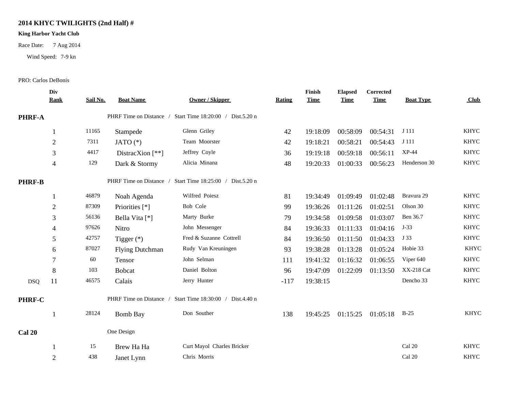### **2014 KHYC TWILIGHTS (2nd Half) #**

### **King Harbor Yacht Club**

Race Date: 7 Aug 2014

Wind Speed: 7-9 kn

#### PRO: Carlos DeBonis

| Div<br>Rank    | Sail No.                                                        | <b>Boat Name</b>       | <b>Owner / Skipper</b>                                                                      | <b>Rating</b>                                                                                                                                                                                                                         | Finish<br><b>Time</b> | <b>Elapsed</b><br><b>Time</b>    | Corrected<br><b>Time</b>         | <b>Boat Type</b>                 | Club        |
|----------------|-----------------------------------------------------------------|------------------------|---------------------------------------------------------------------------------------------|---------------------------------------------------------------------------------------------------------------------------------------------------------------------------------------------------------------------------------------|-----------------------|----------------------------------|----------------------------------|----------------------------------|-------------|
|                |                                                                 |                        |                                                                                             |                                                                                                                                                                                                                                       |                       |                                  |                                  |                                  |             |
|                | 11165                                                           |                        |                                                                                             |                                                                                                                                                                                                                                       |                       |                                  |                                  | J 111                            | <b>KHYC</b> |
|                |                                                                 |                        |                                                                                             |                                                                                                                                                                                                                                       |                       |                                  |                                  | J 111                            | <b>KHYC</b> |
|                | 4417                                                            |                        |                                                                                             |                                                                                                                                                                                                                                       |                       |                                  |                                  | XP-44                            | <b>KHYC</b> |
| $\overline{4}$ | 129                                                             | Dark & Stormy          | Alicia Minana                                                                               | 48                                                                                                                                                                                                                                    | 19:20:33              | 01:00:33                         | 00:56:23                         | Henderson 30                     | <b>KHYC</b> |
|                |                                                                 |                        |                                                                                             |                                                                                                                                                                                                                                       |                       |                                  |                                  |                                  |             |
|                | 46879                                                           |                        | Wilfred Poiesz                                                                              | 81                                                                                                                                                                                                                                    | 19:34:49              | 01:09:49                         | 01:02:48                         | Bravura 29                       | <b>KHYC</b> |
| $\overline{2}$ | 87309                                                           |                        | Bob Cole                                                                                    | 99                                                                                                                                                                                                                                    | 19:36:26              | 01:11:26                         | 01:02:51                         | Olson 30                         | <b>KHYC</b> |
| 3              | 56136                                                           | Bella Vita [*]         | Marty Burke                                                                                 | 79                                                                                                                                                                                                                                    | 19:34:58              | 01:09:58                         | 01:03:07                         | Ben 36.7                         | <b>KHYC</b> |
| 4              | 97626                                                           | Nitro                  | John Messenger                                                                              | 84                                                                                                                                                                                                                                    | 19:36:33              | 01:11:33                         | 01:04:16                         | $J-33$                           | <b>KHYC</b> |
| 5              | 42757                                                           | Tigger $(*)$           | Fred & Suzanne Cottrell                                                                     | 84                                                                                                                                                                                                                                    | 19:36:50              | 01:11:50                         | 01:04:33                         | J 33                             | <b>KHYC</b> |
| 6              | 87027                                                           | <b>Flying Dutchman</b> | Rudy Van Kreuningen                                                                         | 93                                                                                                                                                                                                                                    | 19:38:28              | 01:13:28                         | 01:05:24                         | Hobie 33                         | <b>KHYC</b> |
| 7              | 60                                                              | Tensor                 | John Selman                                                                                 | 111                                                                                                                                                                                                                                   | 19:41:32              | 01:16:32                         | 01:06:55                         | Viper 640                        | <b>KHYC</b> |
| $\,8\,$        | 103                                                             | <b>Bobcat</b>          | Daniel Bolton                                                                               | 96                                                                                                                                                                                                                                    | 19:47:09              | 01:22:09                         | 01:13:50                         | XX-218 Cat                       | <b>KHYC</b> |
| 11             | 46575                                                           | Calais                 | Jerry Hunter                                                                                | $-117$                                                                                                                                                                                                                                | 19:38:15              |                                  |                                  | Dencho 33                        | <b>KHYC</b> |
|                |                                                                 |                        |                                                                                             |                                                                                                                                                                                                                                       |                       |                                  |                                  |                                  |             |
|                | 28124                                                           | <b>Bomb Bay</b>        | Don Souther                                                                                 | 138                                                                                                                                                                                                                                   | 19:45:25              | 01:15:25                         | 01:05:18                         | $B-25$                           | <b>KHYC</b> |
|                |                                                                 |                        |                                                                                             |                                                                                                                                                                                                                                       |                       |                                  |                                  |                                  |             |
|                | 15                                                              | Brew Ha Ha             | Curt Mayol Charles Bricker                                                                  |                                                                                                                                                                                                                                       |                       |                                  |                                  | Cal 20                           | <b>KHYC</b> |
| $\overline{2}$ | 438                                                             | Janet Lynn             | Chris Morris                                                                                |                                                                                                                                                                                                                                       |                       |                                  |                                  | Cal 20                           | <b>KHYC</b> |
|                | <b>PHRF-A</b><br>$\overline{2}$<br>3<br><b>PHRF-B</b><br>PHRF-C | 7311                   | Stampede<br>JATO $(*)$<br>DistracXion $[**]$<br>Noah Agenda<br>Priorities [*]<br>One Design | PHRF Time on Distance / Start Time 18:20:00 / Dist.5.20 n<br>Glenn Griley<br>Team Moorster<br>Jeffrey Coyle<br>PHRF Time on Distance / Start Time 18:25:00 / Dist.5.20 n<br>PHRF Time on Distance / Start Time 18:30:00 / Dist.4.40 n | 42<br>42<br>36        | 19:18:09<br>19:18:21<br>19:19:18 | 00:58:09<br>00:58:21<br>00:59:18 | 00:54:31<br>00:54:43<br>00:56:11 |             |